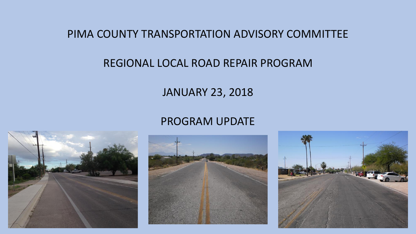PIMA COUNTY TRANSPORTATION ADVISORY COMMITTEE

## REGIONAL LOCAL ROAD REPAIR PROGRAM

## JANUARY 23, 2018

## PROGRAM UPDATE